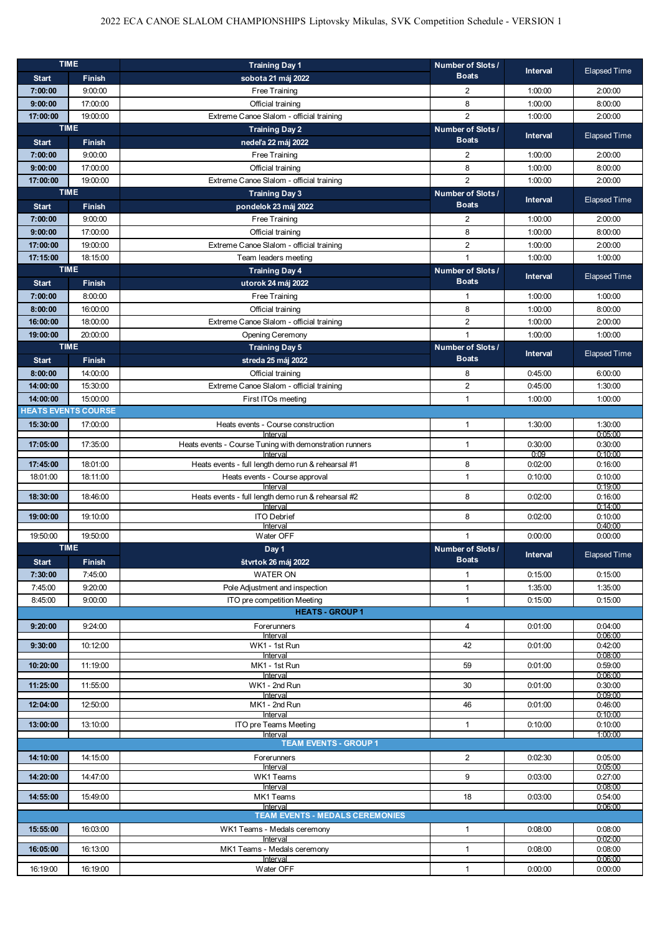## 2022 ECA CANOE SLALOM CHAMPIONSHIPS Liptovsky Mikulas, SVK Competition Schedule - VERSION 1

|                         | <b>TIME</b>                                                               | <b>Training Day 1</b>                                   | Number of Slots /       | <b>Interval</b> | <b>Elapsed Time</b> |
|-------------------------|---------------------------------------------------------------------------|---------------------------------------------------------|-------------------------|-----------------|---------------------|
| <b>Start</b>            | <b>Finish</b>                                                             | sobota 21 máj 2022                                      | <b>Boats</b>            |                 |                     |
| 7:00:00                 | 9:00:00                                                                   | Free Training                                           | $\overline{2}$          | 1:00:00         | 2:00:00             |
| 9:00:00                 | 17:00:00                                                                  | Official training                                       | 8                       | 1:00:00         | 8:00:00             |
| 17:00:00                | 19:00:00                                                                  | Extreme Canoe Slalom - official training                | $\overline{2}$          | 1:00:00         | 2:00:00             |
|                         | <b>TIME</b><br><b>Training Day 2</b><br>Number of Slots /<br><b>Boats</b> |                                                         |                         |                 |                     |
| <b>Start</b><br>7:00:00 | <b>Finish</b><br>9:00:00                                                  | nedeľa 22 máj 2022<br>Free Training                     | $\overline{2}$          | 1:00:00         | 2:00:00             |
| 9:00:00                 | 17:00:00                                                                  | Official training                                       | 8                       | 1:00:00         | 8:00:00             |
| 17:00:00                | 19:00:00                                                                  | Extreme Canoe Slalom - official training                | $\overline{2}$          | 1:00:00         | 2:00:00             |
|                         | <b>TIME</b>                                                               | <b>Training Day 3</b>                                   | Number of Slots /       |                 |                     |
| <b>Start</b>            | <b>Finish</b>                                                             | pondelok 23 máj 2022                                    | <b>Boats</b>            | <b>Interval</b> | <b>Elapsed Time</b> |
| 7:00:00                 | 9:00:00                                                                   | Free Training                                           | 2                       | 1:00:00         | 2:00:00             |
| 9:00:00                 | 17:00:00                                                                  | Official training                                       | 8                       | 1:00:00         | 8:00:00             |
| 17:00:00                | 19:00:00                                                                  | Extreme Canoe Slalom - official training                | $\overline{2}$          | 1:00:00         | 2:00:00             |
| 17:15:00                | 18:15:00                                                                  | Team leaders meeting                                    | $\mathbf{1}$            | 1:00:00         | 1:00:00             |
|                         | <b>TIME</b>                                                               | <b>Training Day 4</b>                                   | Number of Slots /       |                 |                     |
| <b>Start</b>            | Finish                                                                    | utorok 24 máj 2022                                      | <b>Boats</b>            | Interval        | <b>Elapsed Time</b> |
| 7:00:00                 | 8:00:00                                                                   | Free Training                                           | $\mathbf{1}$            | 1:00:00         | 1:00:00             |
| 8:00:00                 | 16:00:00                                                                  | Official training                                       | 8                       | 1:00:00         | 8:00:00             |
| 16:00:00                | 18:00:00                                                                  | Extreme Canoe Slalom - official training                | $\overline{2}$          | 1:00:00         | 2:00:00             |
| 19:00:00                | 20:00:00                                                                  | Opening Ceremony                                        | $\overline{1}$          | 1:00:00         | 1:00:00             |
|                         | <b>TIME</b>                                                               | <b>Training Day 5</b>                                   | Number of Slots /       | Interval        | <b>Elapsed Time</b> |
| <b>Start</b>            | <b>Finish</b>                                                             | streda 25 máj 2022                                      | <b>Boats</b>            |                 |                     |
| 8:00:00                 | 14:00:00                                                                  | Official training                                       | 8                       | 0:45:00         | 6:00:00             |
| 14:00:00                | 15:30:00                                                                  | Extreme Canoe Slalom - official training                | $\sqrt{2}$              | 0:45:00         | 1:30:00             |
| 14:00:00                | 15:00:00                                                                  | First ITOs meeting                                      | $\mathbf{1}$            | 1:00:00         | 1:00:00             |
|                         | <b>IEATS EVENTS COURSE</b>                                                |                                                         |                         |                 |                     |
| 15:30:00                | 17:00:00                                                                  | Heats events - Course construction<br>Interval          | $\mathbf{1}$            | 1:30:00         | 1:30:00<br>0:05:00  |
| 17:05:00                | 17:35:00                                                                  | Heats events - Course Tuning with demonstration runners | $\mathbf{1}$            | 0:30:00         | 0:30:00             |
|                         |                                                                           | Interval                                                |                         | 0:09            | 0:10:00             |
| 17:45:00                | 18:01:00                                                                  | Heats events - full length demo run & rehearsal #1      | 8                       | 0:02:00         | 0:16:00             |
|                         |                                                                           |                                                         |                         |                 |                     |
| 18:01:00                | 18:11:00                                                                  | Heats events - Course approval<br>Interval              | $\mathbf{1}$            | 0:10:00         | 0:10:00<br>0:19:00  |
| 18:30:00                | 18:46:00                                                                  | Heats events - full length demo run & rehearsal #2      | 8                       | 0:02:00         | 0:16:00             |
|                         |                                                                           | Interval                                                |                         |                 | 0:14:00             |
| 19:00:00                | 19:10:00                                                                  | <b>ITO Debrief</b><br>Interval                          | 8                       | 0:02:00         | 0:10:00<br>0:40:00  |
| 19:50:00                | 19:50:00                                                                  | Water OFF                                               | $\mathbf{1}$            | 0:00:00         | 0:00:00             |
|                         | <b>TIME</b>                                                               | Day 1                                                   | <b>Number of Slots/</b> |                 |                     |
| <b>Start</b>            | <b>Finish</b>                                                             | štvrtok 26 máj 2022                                     | <b>Boats</b>            | <b>Interval</b> | <b>Elapsed Time</b> |
| 7:30:00                 | 7:45:00                                                                   | <b>WATER ON</b>                                         | $\mathbf{1}$            | 0:15:00         | 0:15:00             |
| 7:45:00                 | 9:20:00                                                                   | Pole Adjustment and inspection                          | $\mathbf{1}$            | 1:35:00         | 1:35:00             |
| 8:45:00                 | 9:00:00                                                                   | ITO pre competition Meeting                             | $\mathbf{1}$            | 0:15:00         | 0:15:00             |
|                         |                                                                           | <b>HEATS - GROUP 1</b>                                  |                         |                 |                     |
| 9:20:00                 | 9:24:00                                                                   | Forerunners<br>Interval                                 | $\overline{4}$          | 0:01:00         | 0:04:00<br>0:06:00  |
| 9:30:00                 | 10:12:00                                                                  | WK1 - 1st Run                                           | 42                      | 0:01:00         | 0.42:00             |
|                         |                                                                           | Interval                                                |                         |                 | 0.08:00             |
| 10:20:00                | 11:19:00                                                                  | MK1 - 1st Run<br>Interval                               | 59                      | 0.01:00         | 0:59:00<br>0:06:00  |
| 11:25:00                | 11:55:00                                                                  | WK1 - 2nd Run                                           | 30                      | 0.01:00         | 0:30:00             |
| 12:04:00                | 12:50:00                                                                  | Interval<br>MK1 - 2nd Run                               | 46                      | 0.01:00         | 0.09:00<br>0:46:00  |
|                         |                                                                           | Interval                                                |                         |                 | 0:10:00             |
| 13:00:00                | 13:10:00                                                                  | ITO pre Teams Meeting                                   | $\mathbf{1}$            | 0:10:00         | 0:10:00             |
|                         |                                                                           | Interval<br><b>TEAM EVENTS - GROUP 1</b>                |                         |                 | 1:00:00             |
| 14:10:00                | 14:15:00                                                                  | Forerunners                                             | $\overline{2}$          | 0:02:30         | 0.05:00             |
|                         |                                                                           | Interval                                                |                         |                 | 0.05:00             |
| 14:20:00                | 14:47:00                                                                  | WK1 Teams                                               | 9                       | 0:03:00         | 0.27:00             |
| 14:55:00                | 15:49:00                                                                  | Interval<br>MK1 Teams                                   | 18                      | 0:03:00         | 0.08:00<br>0.54:00  |
|                         |                                                                           | Interval                                                |                         |                 | 0.06:00             |
|                         |                                                                           | <b>TEAM EVENTS - MEDALS CEREMONIES</b>                  |                         |                 |                     |
| 15:55:00                | 16:03:00                                                                  | WK1 Teams - Medals ceremony                             | $\mathbf{1}$            | 0.08:00         | 0:08:00             |
| 16:05:00                | 16:13:00                                                                  | Interval<br>MK1 Teams - Medals ceremony                 | $\mathbf{1}$            | 0.08:00         | 0.02:00<br>0.08:00  |
| 16:19:00                | 16:19:00                                                                  | Interval<br>Water OFF                                   | $\mathbf{1}$            | 0:00:00         | 0.06:00<br>0:00:00  |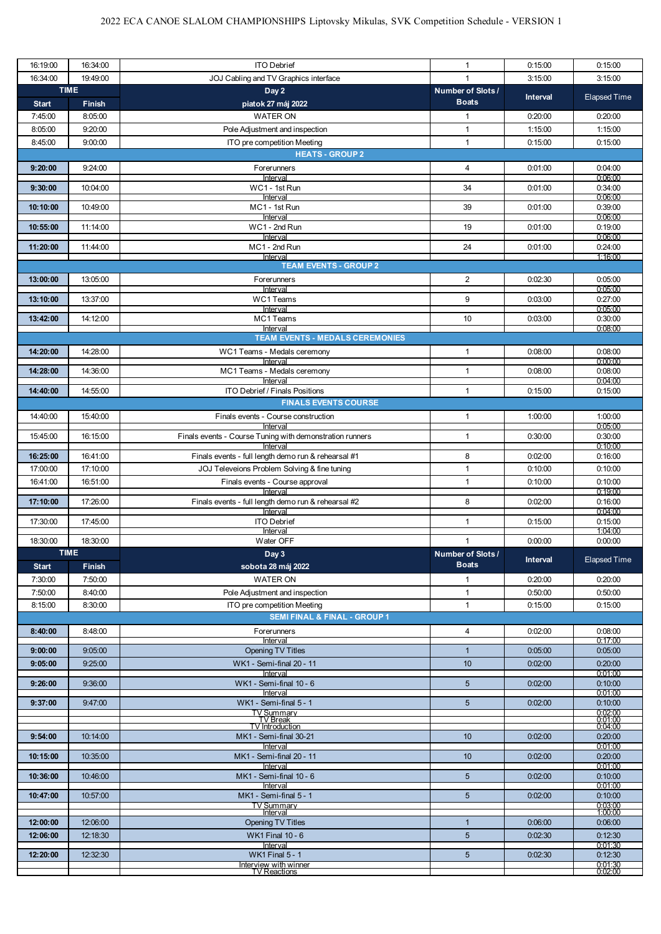| 16:19:00             | 16:34:00              | <b>ITO Debrief</b>                                                                                  | $\mathbf{1}$                      | 0:15:00            | 0:15:00                |
|----------------------|-----------------------|-----------------------------------------------------------------------------------------------------|-----------------------------------|--------------------|------------------------|
| 16:34:00             | 19:49:00              | JOJ Cabling and TV Graphics interface                                                               |                                   | 3:15:00            | 3:15:00                |
| <b>Start</b>         | <b>TIME</b><br>Finish | Day 2<br>piatok 27 máj 2022                                                                         | Number of Slots /<br><b>Boats</b> | <b>Interval</b>    | <b>Elapsed Time</b>    |
| 7:45:00              | 8:05:00               | <b>WATER ON</b>                                                                                     | $\mathbf{1}$                      | 0:20:00            | 0:20:00                |
| 8:05:00              | 9:20:00               | Pole Adjustment and inspection                                                                      | $\mathbf{1}$                      | 1:15:00            | 1:15:00                |
| 8:45:00              | 9:00:00               | ITO pre competition Meeting                                                                         | $\mathbf{1}$                      | 0:15:00            | 0:15:00                |
|                      |                       | <b>HEATS - GROUP 2</b>                                                                              |                                   |                    |                        |
| 9:20:00              | 9:24:00               | Forerunners                                                                                         | 4                                 | 0:01:00            | 0:04:00                |
| 9:30:00              | 10:04:00              | Interval<br>WC1 - 1st Run                                                                           | 34                                | 0:01:00            | 0.06:00<br>0:34:00     |
|                      |                       | Interval                                                                                            |                                   |                    | 0.06:00                |
| 10:10:00             | 10:49:00              | MC1 - 1st Run<br>Interval                                                                           | 39                                | 0:01:00            | 0:39:00<br>0.06.00     |
| 10:55:00             | 11:14:00              | WC1 - 2nd Run<br>Interval                                                                           | 19                                | 0.01:00            | 0:19:00<br>0:06:00     |
| 11:20:00             | 11:44:00              | MC1 - 2nd Run                                                                                       | 24                                | 0.01:00            | 0:24:00                |
|                      |                       | Interval<br><b>TEAM EVENTS - GROUP 2</b>                                                            |                                   |                    | 1:16:00                |
| 13:00:00             | 13:05:00              | Forerunners                                                                                         | 2                                 | 0:02:30            | 0:05:00                |
|                      |                       | Interval                                                                                            |                                   |                    | 0:05:00                |
| 13:10:00             | 13:37:00              | WC1 Teams<br>Interval                                                                               | 9                                 | 0:03:00            | 0:27:00<br>0.05:00     |
| 13:42:00             | 14:12:00              | MC1 Teams                                                                                           | 10                                | 0:03:00            | 0:30:00                |
|                      |                       | Interval<br><b>TEAM EVENTS - MEDALS CEREMONIES</b>                                                  |                                   |                    | 0.08:00                |
| 14:20:00             | 14:28:00              | WC1 Teams - Medals ceremony                                                                         | 1                                 | 0:08:00            | 0.08:00                |
|                      |                       | Interval                                                                                            |                                   |                    | 0:00:00                |
| 14:28:00             | 14:36:00              | MC1 Teams - Medals ceremony<br>Interval                                                             | $\mathbf{1}$                      | 0:08:00            | 0:08:00<br>0:04:00     |
| 14:40:00             | 14:55:00              | ITO Debrief / Finals Positions                                                                      | $\mathbf{1}$                      | 0:15:00            | 0:15:00                |
|                      |                       | <b>FINALS EVENTS COURSE</b>                                                                         |                                   |                    |                        |
| 14:40:00             | 15:40:00              | Finals events - Course construction                                                                 | $\mathbf{1}$                      | 1:00:00            | 1:00:00                |
| 15:45:00             | 16:15:00              | Interval<br>Finals events - Course Tuning with demonstration runners                                | $\mathbf{1}$                      | 0:30:00            | 0:05:00<br>0:30:00     |
|                      |                       | Interval                                                                                            |                                   |                    | 0:10:00                |
| 16:25:00<br>17:00:00 | 16:41:00<br>17:10:00  | Finals events - full length demo run & rehearsal #1<br>JOJ Televeions Problem Solving & fine tuning | 8<br>1                            | 0:02:00<br>0:10:00 | 0:16:00<br>0:10:00     |
| 16:41:00             | 16:51:00              | Finals events - Course approval                                                                     | $\mathbf{1}$                      | 0:10:00            | 0:10:00                |
|                      |                       | Interval                                                                                            |                                   |                    | 0:19:00                |
| 17:10:00             | 17:26:00              | Finals events - full length demo run & rehearsal #2<br>Interval                                     | 8                                 | 0:02:00            | 0:16:00<br>0:04:00     |
| 17:30:00             | 17:45:00              | <b>ITO Debrief</b>                                                                                  | $\mathbf{1}$                      | 0:15:00            | 0:15:00                |
| 18:30:00             | 18:30:00              | Interval<br>Water OFF                                                                               | $\mathbf{1}$                      | 0:00:00            | 1:04:00<br>0:00:00     |
|                      | <b>TIME</b>           | Day 3                                                                                               | Number of Slots /                 |                    |                        |
| <b>Start</b>         | <b>Finish</b>         | sobota 28 máj 2022                                                                                  | <b>Boats</b>                      | <b>Interval</b>    | <b>Elapsed Time</b>    |
| 7:30:00              | 7:50:00               | <b>WATER ON</b>                                                                                     | $\mathbf{1}$                      | 0.20:00            | 0:20:00                |
| 7:50:00              | 8:40:00               | Pole Adjustment and inspection                                                                      | $\mathbf{1}$                      | 0:50:00            | 0:50:00                |
| 8:15:00              | 8:30:00               | ITO pre competition Meeting                                                                         | $\mathbf{1}$                      | 0:15:00            | 0:15:00                |
|                      |                       | <b>SEMI FINAL &amp; FINAL - GROUP 1</b>                                                             |                                   |                    |                        |
| 8:40:00              | 8:48:00               | Forerunners<br>Interval                                                                             | $\overline{4}$                    | 0:02:00            | 0:08:00<br>0:17:00     |
| 9:00:00              | 9:05:00               | <b>Opening TV Titles</b>                                                                            | $\mathbf{1}$                      | 0:05:00            | 0:05:00                |
| 9:05:00              | 9:25:00               | WK1 - Semi-final 20 - 11<br>Interval                                                                | 10 <sup>1</sup>                   | 0:02:00            | 0:20:00<br>0.01:00     |
| 9:26:00              | 9:36:00               | WK1 - Semi-final 10 - 6                                                                             | 5 <sup>5</sup>                    | 0.02:00            | 0:10:00                |
| 9:37:00              | 9:47:00               | Interval<br>WK1 - Semi-final 5 - 1                                                                  | 5 <sup>5</sup>                    | 0.02:00            | 0.01:00<br>0:10:00     |
|                      |                       | <u>TV Summarv</u><br>TV Break                                                                       |                                   |                    | $0.02:00$<br>$0.01:00$ |
|                      |                       | TV Introduction                                                                                     |                                   |                    | 0:04:00                |
| 9:54:00              | 10:14:00              | MK1 - Semi-final 30-21<br>Interval                                                                  | 10 <sup>10</sup>                  | 0.02:00            | 0:20:00<br>0:01:00     |
| 10:15:00             | 10:35:00              | MK1 - Semi-final 20 - 11                                                                            | 10 <sup>10</sup>                  | 0.02:00            | 0:20:00                |
| 10:36:00             | 10:46:00              | Interval<br>MK1 - Semi-final 10 - 6                                                                 | 5 <sup>5</sup>                    | 0.02:00            | 0.01:00<br>0:10:00     |
|                      |                       | Interval                                                                                            |                                   |                    | 0:01:00                |
| 10:47:00             | 10:57:00              | MK1 - Semi-final 5 - 1<br>TV Summarv                                                                | 5 <sup>5</sup>                    | 0:02:00            | 0:10:00                |
| 12:00:00             | 12:06:00              | Interval                                                                                            | $\mathbf{1}$                      | 0.06:00            | 0:03:00<br>1:00:00     |
| 12:06:00             | 12:18:30              | <b>Opening TV Titles</b><br><b>WK1 Final 10 - 6</b>                                                 | 5 <sup>5</sup>                    | 0.02:30            | 0:06:00<br>0:12:30     |
|                      |                       | Interval                                                                                            |                                   |                    | 0.01:30                |
| 12:20:00             | 12:32:30              | <b>WK1 Final 5 - 1</b>                                                                              | $5\overline{)}$                   | 0:02:30            | 0:12:30                |
|                      |                       | Interview with winner<br>TV Reactions                                                               |                                   |                    | $0.01:30$<br>$0.02:00$ |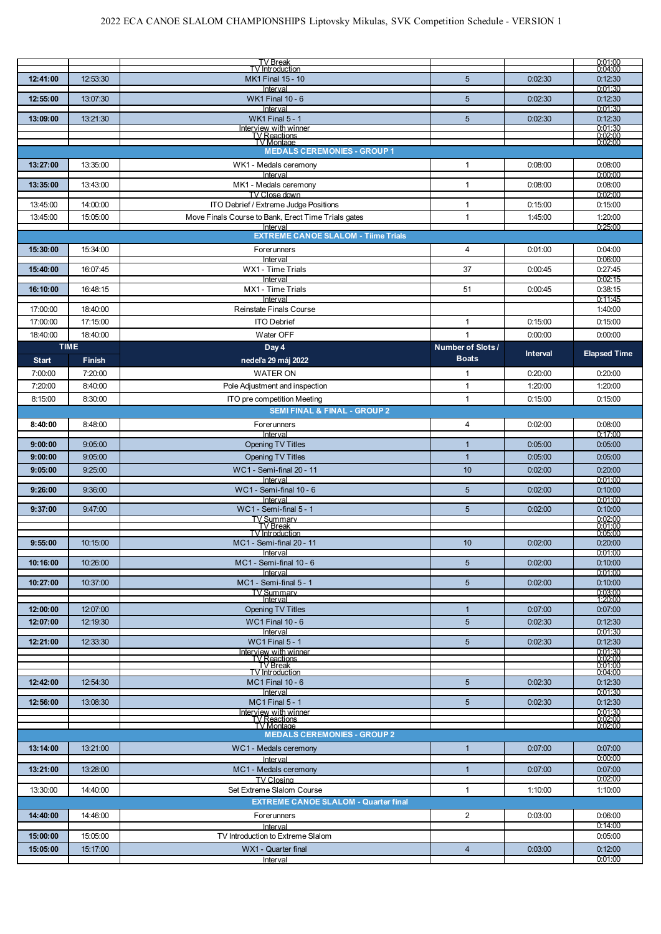|              |                              | <b>TV Break</b><br>TV Introduction                               |                                   |                 | $\begin{array}{c} 0.01.00 \ 0.04.00 \end{array}$ |
|--------------|------------------------------|------------------------------------------------------------------|-----------------------------------|-----------------|--------------------------------------------------|
| 12:41:00     | 12:53:30                     | MK1 Final 15 - 10                                                | 5                                 | 0:02:30         | 0:12:30                                          |
| 12:55:00     | 13:07:30                     | Interval<br><b>WK1 Final 10 - 6</b>                              | 5                                 | 0:02:30         | 0.01:30<br>0:12:30                               |
|              |                              | Interval                                                         |                                   |                 | 0:01:30                                          |
| 13:09:00     | 13:21:30                     | <b>WK1 Final 5 - 1</b>                                           | 5                                 | 0:02:30         | 0:12:30                                          |
|              |                              | Interview with winner<br>TV Reactions<br>TV Montage              |                                   |                 | $0.01:30$<br>$0.02:00$<br>$0.02:00$              |
|              |                              | <b>MEDALS CEREMONIES - GROUP 1</b>                               |                                   |                 |                                                  |
| 13:27:00     | 13:35:00                     | WK1 - Medals ceremony<br>Interval                                | 1                                 | 0:08:00         | 0:08:00<br>0.00:00                               |
| 13:35:00     | 13:43:00                     | MK1 - Medals ceremony                                            | $\mathbf{1}$                      | 0.08:00         | 0:08:00                                          |
| 13:45:00     | 14:00:00                     | TV Close down<br>ITO Debrief / Extreme Judge Positions           | $\mathbf{1}$                      | 0:15:00         | 0:02:00<br>0:15:00                               |
| 13:45:00     | 15:05:00                     | Move Finals Course to Bank, Erect Time Trials gates              | $\mathbf{1}$                      | 1:45:00         | 1:20:00                                          |
|              |                              | Interval<br><b>EXTREME CANOE SLALOM - Tiime Trials</b>           |                                   |                 | 0:25:00                                          |
| 15:30:00     | 15:34:00                     | Forerunners                                                      | 4                                 | 0:01:00         | 0:04:00                                          |
|              |                              | Interval                                                         |                                   |                 | 0:06:00                                          |
| 15:40:00     | 16:07:45                     | WX1 - Time Trials<br>Interval                                    | 37                                | 0:00:45         | 0.27:45<br>0:02:15                               |
| 16:10:00     | 16:48:15                     | MX1 - Time Trials                                                | 51                                | 0:00:45         | 0:38:15                                          |
| 17:00:00     | 18:40:00                     | Interval<br>Reinstate Finals Course                              |                                   |                 | 0:11:45<br>1:40:00                               |
| 17:00:00     | 17:15:00                     | <b>ITO Debrief</b>                                               | 1                                 | 0:15:00         | 0:15:00                                          |
| 18:40:00     | 18:40:00                     | Water OFF                                                        | $\mathbf{1}$                      | 0:00:00         | 0:00:00                                          |
| <b>Start</b> | <b>TIME</b><br><b>Finish</b> | Day 4<br>nedeľa 29 máj 2022                                      | Number of Slots /<br><b>Boats</b> | <b>Interval</b> | <b>Elapsed Time</b>                              |
| 7:00:00      | 7:20:00                      | <b>WATER ON</b>                                                  | 1                                 | 0:20:00         | 0:20:00                                          |
| 7:20:00      | 8:40:00                      | Pole Adjustment and inspection                                   | $\mathbf{1}$                      | 1:20:00         | 1:20:00                                          |
| 8:15:00      | 8:30:00                      | ITO pre competition Meeting                                      | $\mathbf{1}$                      | 0:15:00         | 0:15:00                                          |
|              |                              | <b>SEMI FINAL &amp; FINAL - GROUP 2</b>                          |                                   |                 |                                                  |
| 8:40:00      | 8:48:00                      | Forerunners<br>Interval                                          | 4                                 | 0:02:00         | 0:08:00<br>0:17:00                               |
| 9:00:00      | 9:05:00                      | <b>Opening TV Titles</b>                                         | $\mathbf{1}$                      | 0:05:00         | 0:05:00                                          |
| 9:00:00      | 9:05:00                      | <b>Opening TV Titles</b>                                         | $\mathbf{1}$                      | 0:05:00         | 0:05:00                                          |
| 9:05:00      | 9:25:00                      | WC1 - Semi-final 20 - 11<br>Interval                             | 10                                | 0:02:00         | 0:20:00<br>0:01:00                               |
| 9:26:00      | 9:36:00                      | WC1 - Semi-final 10 - 6                                          | 5                                 | 0:02:00         | 0:10:00                                          |
| 9:37:00      | 9:47:00                      | Interval<br>WC1 - Semi-final 5 - 1                               | 5 <sup>5</sup>                    | 0:02:00         | 0:01:00<br>0:10:00                               |
|              |                              | TV Summarv                                                       |                                   |                 | 0:02:00<br>0.01:00                               |
|              |                              | TV Break<br><b>TV</b> Introduction                               |                                   |                 | 0.05:00                                          |
| 9:55:00      | 10:15:00                     | MC1 - Semi-final 20 - 11<br>Interval                             | 10                                | 0:02:00         | 0:20:00<br>0:01:00                               |
| 10:16:00     | 10:26:00                     | MC1 - Semi-final 10 - 6                                          | $5\phantom{.0}$                   | 0:02:00         | 0:10:00                                          |
| 10:27:00     | 10:37:00                     | Interval<br>MC1 - Semi-final 5 - 1                               | 5 <sup>5</sup>                    | 0.02:00         | 0:01:00<br>0:10:00                               |
|              |                              | TV Summarv<br>Interval                                           |                                   |                 | 0:03:00<br>1:20:00                               |
| 12:00:00     | 12:07:00                     | <b>Opening TV Titles</b>                                         | $\mathbf{1}$                      | 0:07:00         | 0:07:00                                          |
| 12:07:00     | 12:19:30                     | <b>WC1 Final 10 - 6</b>                                          | 5 <sup>5</sup>                    | 0.02:30         | 0:12:30                                          |
| 12:21:00     | 12:33:30                     | Interval<br><b>WC1 Final 5 - 1</b>                               | 5 <sup>5</sup>                    | 0.02:30         | 0:01:30<br>0:12:30                               |
|              |                              | nterview with winner                                             |                                   |                 | 0:01:30                                          |
|              |                              | TV Reactions<br>TV Break<br><b>TV</b> Introduction               |                                   |                 | $\frac{0.02:00}{0.01:00}$<br>0.04:00             |
| 12:42:00     | 12:54:30                     | <b>MC1 Final 10 - 6</b>                                          | 5 <sup>5</sup>                    | 0:02:30         | 0:12:30                                          |
| 12:56:00     | 13:08:30                     | Interval<br><b>MC1 Final 5 - 1</b>                               | 5                                 | 0.02:30         | 0:01:30<br>0:12:30                               |
|              |                              | nterview with winner                                             |                                   |                 | 0.01:30<br>0.02:00                               |
|              |                              | TV Reactions<br>TV Montage<br><b>MEDALS CEREMONIES - GROUP 2</b> |                                   |                 | 0:02:00                                          |
| 13:14:00     | 13:21:00                     | WC1 - Medals ceremony                                            | $\mathbf{1}$                      | 0.07:00         | 0.07:00                                          |
|              |                              | Interval                                                         |                                   |                 | 0:00:00                                          |
| 13:21:00     | 13:28:00                     | MC1 - Medals ceremony<br><b>TV Closing</b>                       | $\mathbf{1}$                      | 0.07:00         | 0.07:00<br>0.02:00                               |
| 13:30:00     | 14:40:00                     | Set Extreme Slalom Course                                        | $\mathbf{1}$                      | 1:10:00         | 1:10:00                                          |
|              |                              | <b>EXTREME CANOE SLALOM - Quarter final</b>                      |                                   |                 |                                                  |
| 14:40:00     | 14:46:00                     | Forerunners                                                      | 2                                 | 0:03:00         | 0:06:00<br>0:14:00                               |
| 15:00:00     | 15:05:00                     | Interval<br>TV Introduction to Extreme Slalom                    |                                   |                 | 0:05:00                                          |
| 15:05:00     | 15:17:00                     | WX1 - Quarter final                                              | $\overline{4}$                    | 0.03:00         | 0:12:00                                          |
|              |                              | Interval                                                         |                                   |                 | 0:01:00                                          |